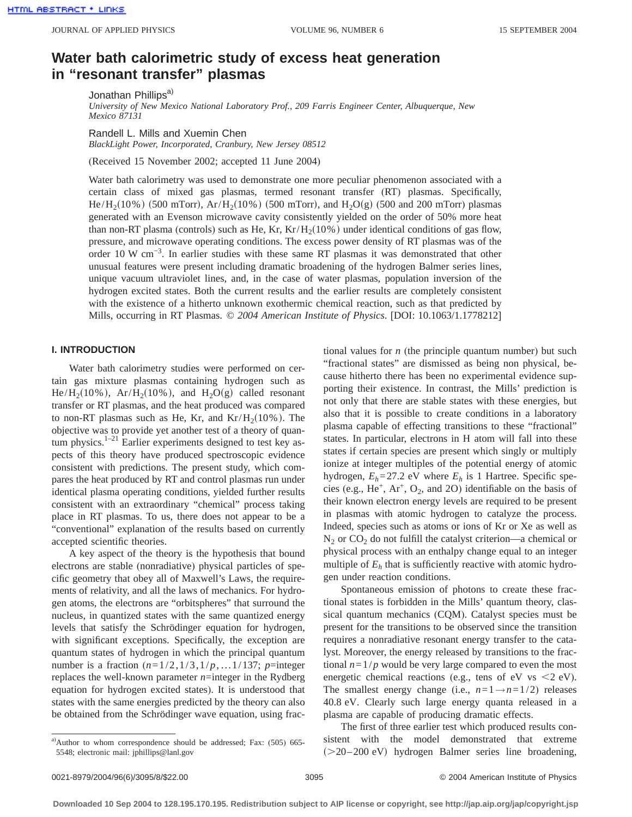# **Water bath calorimetric study of excess heat generation in "resonant transfer" plasmas**

Jonathan Phillips<sup>a)</sup>

*University of New Mexico National Laboratory Prof., 209 Farris Engineer Center, Albuquerque, New Mexico 87131*

Randell L. Mills and Xuemin Chen

*BlackLight Power, Incorporated, Cranbury, New Jersey 08512*

(Received 15 November 2002; accepted 11 June 2004)

Water bath calorimetry was used to demonstrate one more peculiar phenomenon associated with a certain class of mixed gas plasmas, termed resonant transfer (RT) plasmas. Specifically,  $He/H_2(10%)$  (500 mTorr), Ar/H<sub>2</sub>(10%) (500 mTorr), and H<sub>2</sub>O(g) (500 and 200 mTorr) plasmas generated with an Evenson microwave cavity consistently yielded on the order of 50% more heat than non-RT plasma (controls) such as He, Kr,  $Kr/H_2(10\%)$  under identical conditions of gas flow, pressure, and microwave operating conditions. The excess power density of RT plasmas was of the order 10 W cm−3. In earlier studies with these same RT plasmas it was demonstrated that other unusual features were present including dramatic broadening of the hydrogen Balmer series lines, unique vacuum ultraviolet lines, and, in the case of water plasmas, population inversion of the hydrogen excited states. Both the current results and the earlier results are completely consistent with the existence of a hitherto unknown exothermic chemical reaction, such as that predicted by Mills, occurring in RT Plasmas. © *2004 American Institute of Physics*. [DOI: 10.1063/1.1778212]

# **I. INTRODUCTION**

Water bath calorimetry studies were performed on certain gas mixture plasmas containing hydrogen such as  $He/H_2(10\%)$ , Ar/H<sub>2</sub>(10%), and H<sub>2</sub>O(g) called resonant transfer or RT plasmas, and the heat produced was compared to non-RT plasmas such as He, Kr, and  $Kr/H_2(10\%)$ . The objective was to provide yet another test of a theory of quantum physics.<sup>1–21</sup> Earlier experiments designed to test key aspects of this theory have produced spectroscopic evidence consistent with predictions. The present study, which compares the heat produced by RT and control plasmas run under identical plasma operating conditions, yielded further results consistent with an extraordinary "chemical" process taking place in RT plasmas. To us, there does not appear to be a "conventional" explanation of the results based on currently accepted scientific theories.

A key aspect of the theory is the hypothesis that bound electrons are stable (nonradiative) physical particles of specific geometry that obey all of Maxwell's Laws, the requirements of relativity, and all the laws of mechanics. For hydrogen atoms, the electrons are "orbitspheres" that surround the nucleus, in quantized states with the same quantized energy levels that satisfy the Schrödinger equation for hydrogen, with significant exceptions. Specifically, the exception are quantum states of hydrogen in which the principal quantum number is a fraction  $(n=1/2,1/3,1/p,...1/137; p=$ integer replaces the well-known parameter *n*=integer in the Rydberg equation for hydrogen excited states). It is understood that states with the same energies predicted by the theory can also be obtained from the Schrödinger wave equation, using fractional values for *n* (the principle quantum number) but such "fractional states" are dismissed as being non physical, because hitherto there has been no experimental evidence supporting their existence. In contrast, the Mills' prediction is not only that there are stable states with these energies, but also that it is possible to create conditions in a laboratory plasma capable of effecting transitions to these "fractional" states. In particular, electrons in H atom will fall into these states if certain species are present which singly or multiply ionize at integer multiples of the potential energy of atomic hydrogen,  $E_h$ =27.2 eV where  $E_h$  is 1 Hartree. Specific species (e.g., He<sup>+</sup>, Ar<sup>+</sup>, O<sub>2</sub>, and 2O) identifiable on the basis of their known electron energy levels are required to be present in plasmas with atomic hydrogen to catalyze the process. Indeed, species such as atoms or ions of Kr or Xe as well as  $N_2$  or  $CO_2$  do not fulfill the catalyst criterion—a chemical or physical process with an enthalpy change equal to an integer multiple of  $E<sub>h</sub>$  that is sufficiently reactive with atomic hydrogen under reaction conditions.

Spontaneous emission of photons to create these fractional states is forbidden in the Mills' quantum theory, classical quantum mechanics (CQM). Catalyst species must be present for the transitions to be observed since the transition requires a nonradiative resonant energy transfer to the catalyst. Moreover, the energy released by transitions to the fractional  $n=1/p$  would be very large compared to even the most energetic chemical reactions (e.g., tens of eV vs  $\leq$  eV). The smallest energy change (i.e.,  $n=1 \rightarrow n=1/2$ ) releases 40.8 eV. Clearly such large energy quanta released in a plasma are capable of producing dramatic effects.

The first of three earlier test which produced results consistent with the model demonstrated that extreme  $(>=20-200 \text{ eV})$  hydrogen Balmer series line broadening,

a)Author to whom correspondence should be addressed; Fax: (505) 665-5548; electronic mail: jphillips@lanl.gov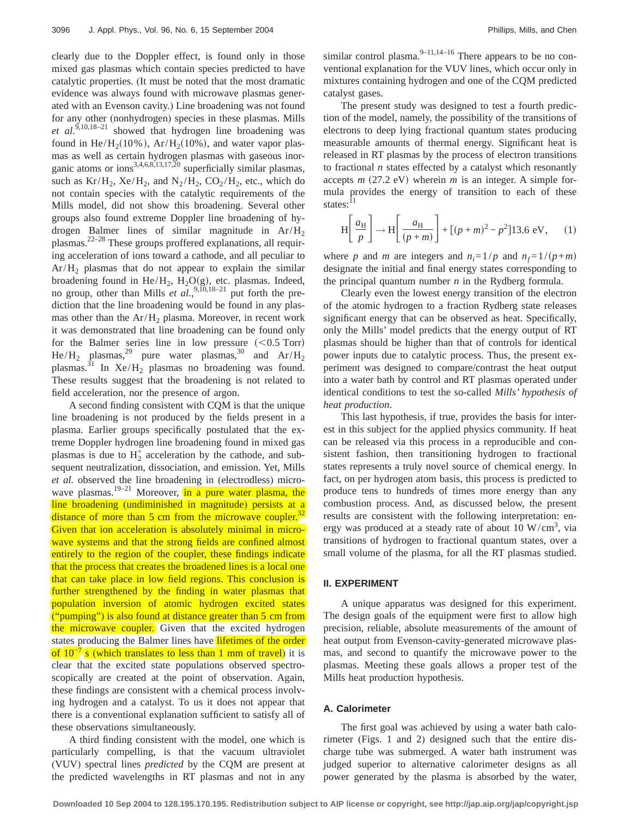clearly due to the Doppler effect, is found only in those mixed gas plasmas which contain species predicted to have catalytic properties. (It must be noted that the most dramatic evidence was always found with microwave plasmas generated with an Evenson cavity.) Line broadening was not found for any other (nonhydrogen) species in these plasmas. Mills et al.<sup>9,10,18-21</sup> showed that hydrogen line broadening was found in He/H<sub>2</sub>(10%), Ar/H<sub>2</sub>(10%), and water vapor plasmas as well as certain hydrogen plasmas with gaseous inorganic atoms or ions<sup>3,4,6,8,13,17,20</sup> superficially similar plasmas, such as  $Kr/H_2$ ,  $Xe/H_2$ , and  $N_2/H_2$ ,  $CO_2/H_2$ , etc., which do not contain species with the catalytic requirements of the Mills model, did not show this broadening. Several other groups also found extreme Doppler line broadening of hydrogen Balmer lines of similar magnitude in  $Ar/H_2$ plasmas.22–28 These groups proffered explanations, all requiring acceleration of ions toward a cathode, and all peculiar to  $Ar/H<sub>2</sub>$  plasmas that do not appear to explain the similar broadening found in  $He/H_2$ ,  $H_2O(g)$ , etc. plasmas. Indeed, no group, other than Mills *et al.*,<sup>9,10,18–21</sup> put forth the prediction that the line broadening would be found in any plasmas other than the  $Ar/H_2$  plasma. Moreover, in recent work it was demonstrated that line broadening can be found only for the Balmer series line in low pressure  $( $0.5$  Torr)$  $He/H_2$  plasmas,<sup>29</sup> pure water plasmas,<sup>30</sup> and  $Ar/H_2$ plasmas.<sup>31</sup> In  $Xe/H_2$  plasmas no broadening was found. These results suggest that the broadening is not related to field acceleration, nor the presence of argon.

A second finding consistent with CQM is that the unique line broadening is not produced by the fields present in a plasma. Earlier groups specifically postulated that the extreme Doppler hydrogen line broadening found in mixed gas plasmas is due to  $H_2^{\dagger}$  acceleration by the cathode, and subsequent neutralization, dissociation, and emission. Yet, Mills *et al.* observed the line broadening in (electrodless) microwave plasmas.<sup>19–21</sup> Moreover, in a pure water plasma, the line broadening (undiminished in magnitude) persists at a distance of more than 5 cm from the microwave coupler. Given that ion acceleration is absolutely minimal in microwave systems and that the strong fields are confined almost entirely to the region of the coupler, these findings indicate that the process that creates the broadened lines is a local one that can take place in low field regions. This conclusion is further strengthened by the finding in water plasmas that population inversion of atomic hydrogen excited states ("pumping") is also found at distance greater than 5 cm from the microwave coupler. Given that the excited hydrogen states producing the Balmer lines have *lifetimes* of the order of  $10^{-7}$  s (which translates to less than 1 mm of travel) it is clear that the excited state populations observed spectroscopically are created at the point of observation. Again, these findings are consistent with a chemical process involving hydrogen and a catalyst. To us it does not appear that there is a conventional explanation sufficient to satisfy all of these observations simultaneously.

A third finding consistent with the model, one which is particularly compelling, is that the vacuum ultraviolet (VUV) spectral lines *predicted* by the CQM are present at the predicted wavelengths in RT plasmas and not in any similar control plasma. $9-11,14-16$  There appears to be no conventional explanation for the VUV lines, which occur only in mixtures containing hydrogen and one of the CQM predicted catalyst gases.

The present study was designed to test a fourth prediction of the model, namely, the possibility of the transitions of electrons to deep lying fractional quantum states producing measurable amounts of thermal energy. Significant heat is released in RT plasmas by the process of electron transitions to fractional *n* states effected by a catalyst which resonantly accepts  $m$  (27.2 eV) wherein  $m$  is an integer. A simple formula provides the energy of transition to each of these states:

$$
H\left[\frac{a_H}{p}\right] \to H\left[\frac{a_H}{(p+m)}\right] + \left[(p+m)^2 - p^2\right]13.6 \text{ eV},\qquad(1)
$$

where *p* and *m* are integers and  $n_i = 1/p$  and  $n_f = 1/(p+m)$ designate the initial and final energy states corresponding to the principal quantum number *n* in the Rydberg formula.

Clearly even the lowest energy transition of the electron of the atomic hydrogen to a fraction Rydberg state releases significant energy that can be observed as heat. Specifically, only the Mills' model predicts that the energy output of RT plasmas should be higher than that of controls for identical power inputs due to catalytic process. Thus, the present experiment was designed to compare/contrast the heat output into a water bath by control and RT plasmas operated under identical conditions to test the so-called *Mills' hypothesis of heat production*.

This last hypothesis, if true, provides the basis for interest in this subject for the applied physics community. If heat can be released via this process in a reproducible and consistent fashion, then transitioning hydrogen to fractional states represents a truly novel source of chemical energy. In fact, on per hydrogen atom basis, this process is predicted to produce tens to hundreds of times more energy than any combustion process. And, as discussed below, the present results are consistent with the following interpretation: energy was produced at a steady rate of about 10 W/cm<sup>3</sup>, via transitions of hydrogen to fractional quantum states, over a small volume of the plasma, for all the RT plasmas studied.

# **II. EXPERIMENT**

A unique apparatus was designed for this experiment. The design goals of the equipment were first to allow high precision, reliable, absolute measurements of the amount of heat output from Evenson-cavity-generated microwave plasmas, and second to quantify the microwave power to the plasmas. Meeting these goals allows a proper test of the Mills heat production hypothesis.

## **A. Calorimeter**

The first goal was achieved by using a water bath calorimeter (Figs. 1 and 2) designed such that the entire discharge tube was submerged. A water bath instrument was judged superior to alternative calorimeter designs as all power generated by the plasma is absorbed by the water,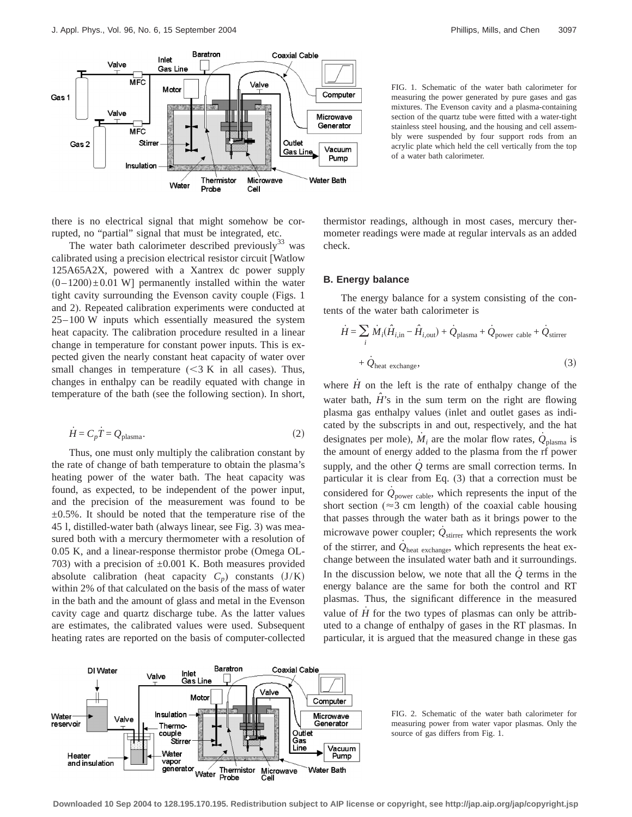

FIG. 1. Schematic of the water bath calorimeter for measuring the power generated by pure gases and gas mixtures. The Evenson cavity and a plasma-containing section of the quartz tube were fitted with a water-tight stainless steel housing, and the housing and cell assembly were suspended by four support rods from an acrylic plate which held the cell vertically from the top of a water bath calorimeter.

there is no electrical signal that might somehow be corrupted, no "partial" signal that must be integrated, etc.

The water bath calorimeter described previously $^{33}$  was calibrated using a precision electrical resistor circuit [Watlow 125A65A2X, powered with a Xantrex dc power supply  $(0-1200) \pm 0.01$  W] permanently installed within the water tight cavity surrounding the Evenson cavity couple (Figs. 1 and 2). Repeated calibration experiments were conducted at 25–100 W inputs which essentially measured the system heat capacity. The calibration procedure resulted in a linear change in temperature for constant power inputs. This is expected given the nearly constant heat capacity of water over small changes in temperature  $(< 3 K$  in all cases). Thus, changes in enthalpy can be readily equated with change in temperature of the bath (see the following section). In short,

$$
\dot{H} = C_p \dot{T} = Q_{\text{plasma}}.\tag{2}
$$

Thus, one must only multiply the calibration constant by the rate of change of bath temperature to obtain the plasma's heating power of the water bath. The heat capacity was found, as expected, to be independent of the power input, and the precision of the measurement was found to be  $\pm 0.5\%$ . It should be noted that the temperature rise of the 45 l, distilled-water bath (always linear, see Fig. 3) was measured both with a mercury thermometer with a resolution of 0.05 K, and a linear-response thermistor probe (Omega OL-703) with a precision of  $\pm 0.001$  K. Both measures provided absolute calibration (heat capacity  $C_p$ ) constants  $(J/K)$ within 2% of that calculated on the basis of the mass of water in the bath and the amount of glass and metal in the Evenson cavity cage and quartz discharge tube. As the latter values are estimates, the calibrated values were used. Subsequent heating rates are reported on the basis of computer-collected thermistor readings, although in most cases, mercury thermometer readings were made at regular intervals as an added check.

#### **B. Energy balance**

The energy balance for a system consisting of the contents of the water bath calorimeter is

$$
\dot{H} = \sum_{i} \dot{M}_{i} (\hat{H}_{i, \text{in}} - \hat{H}_{i, \text{out}}) + \dot{Q}_{\text{plasma}} + \dot{Q}_{\text{power cable}} + \dot{Q}_{\text{stirrer}}
$$

$$
+ \dot{Q}_{\text{heat exchange}},
$$
(3)

where *H* on the left is the rate of enthalpy change of the water bath,  $\hat{H}$ 's in the sum term on the right are flowing plasma gas enthalpy values (inlet and outlet gases as indicated by the subscripts in and out, respectively, and the hat designates per mole),  $M_i$  are the molar flow rates,  $Q_{\text{plasma}}$  is the amount of energy added to the plasma from the rf power supply, and the other  $\dot{Q}$  terms are small correction terms. In particular it is clear from Eq. (3) that a correction must be considered for  $Q_{\text{power cable}}$ , which represents the input of the short section ( $\approx$ 3 cm length) of the coaxial cable housing that passes through the water bath as it brings power to the microwave power coupler;  $Q_{\text{stirrer}}$  which represents the work of the stirrer, and  $\dot{Q}_{\text{heat exchange}}$ , which represents the heat exchange between the insulated water bath and it surroundings. In the discussion below, we note that all the *Q˙* terms in the energy balance are the same for both the control and RT plasmas. Thus, the significant difference in the measured value of *H* for the two types of plasmas can only be attributed to a change of enthalpy of gases in the RT plasmas. In particular, it is argued that the measured change in these gas



FIG. 2. Schematic of the water bath calorimeter for measuring power from water vapor plasmas. Only the source of gas differs from Fig. 1.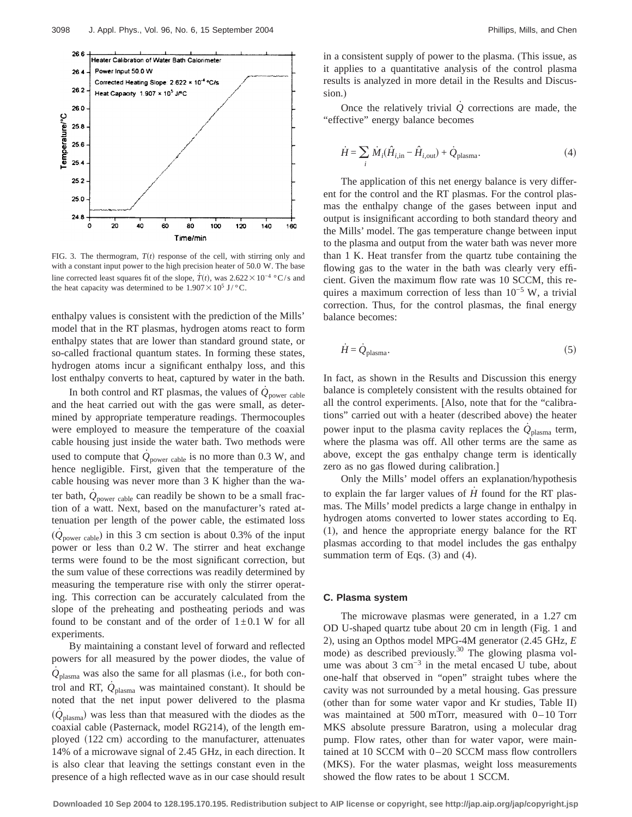

FIG. 3. The thermogram,  $T(t)$  response of the cell, with stirring only and with a constant input power to the high precision heater of 50.0 W. The base line corrected least squares fit of the slope,  $\dot{T}(t)$ , was 2.622×10<sup>-4</sup> °C/s and the heat capacity was determined to be  $1.907 \times 10^5$  J/ $\degree$ C.

enthalpy values is consistent with the prediction of the Mills' model that in the RT plasmas, hydrogen atoms react to form enthalpy states that are lower than standard ground state, or so-called fractional quantum states. In forming these states, hydrogen atoms incur a significant enthalpy loss, and this lost enthalpy converts to heat, captured by water in the bath.

In both control and RT plasmas, the values of  $Q_{\text{power cable}}$ and the heat carried out with the gas were small, as determined by appropriate temperature readings. Thermocouples were employed to measure the temperature of the coaxial cable housing just inside the water bath. Two methods were used to compute that  $\dot{Q}_{\text{power cable}}$  is no more than 0.3 W, and hence negligible. First, given that the temperature of the cable housing was never more than 3 K higher than the water bath,  $Q_{power cable}$  can readily be shown to be a small fraction of a watt. Next, based on the manufacturer's rated attenuation per length of the power cable, the estimated loss (*Q˙* power cable) in this 3 cm section is about 0.3% of the input power or less than 0.2 W. The stirrer and heat exchange terms were found to be the most significant correction, but the sum value of these corrections was readily determined by measuring the temperature rise with only the stirrer operating. This correction can be accurately calculated from the slope of the preheating and postheating periods and was found to be constant and of the order of  $1 \pm 0.1$  W for all experiments.

By maintaining a constant level of forward and reflected powers for all measured by the power diodes, the value of  $Q_{\text{plasma}}$  was also the same for all plasmas (i.e., for both control and RT,  $Q_{plasma}$  was maintained constant). It should be noted that the net input power delivered to the plasma  $(Q_{\text{plasma}})$  was less than that measured with the diodes as the coaxial cable (Pasternack, model RG214), of the length employed  $(122 \text{ cm})$  according to the manufacturer, attenuates 14% of a microwave signal of 2.45 GHz, in each direction. It is also clear that leaving the settings constant even in the presence of a high reflected wave as in our case should result in a consistent supply of power to the plasma. (This issue, as it applies to a quantitative analysis of the control plasma results is analyzed in more detail in the Results and Discussion.)

Once the relatively trivial *Q˙* corrections are made, the "effective" energy balance becomes

$$
\dot{H} = \sum_{i} \dot{M}_i (\hat{H}_{i, \text{in}} - \hat{H}_{i, \text{out}}) + \dot{Q}_{\text{plasma}}.
$$
\n(4)

The application of this net energy balance is very different for the control and the RT plasmas. For the control plasmas the enthalpy change of the gases between input and output is insignificant according to both standard theory and the Mills' model. The gas temperature change between input to the plasma and output from the water bath was never more than 1 K. Heat transfer from the quartz tube containing the flowing gas to the water in the bath was clearly very efficient. Given the maximum flow rate was 10 SCCM, this requires a maximum correction of less than 10−5 W, a trivial correction. Thus, for the control plasmas, the final energy balance becomes:

$$
\dot{H} = \dot{Q}_{\text{plasma}}.\tag{5}
$$

In fact, as shown in the Results and Discussion this energy balance is completely consistent with the results obtained for all the control experiments. [Also, note that for the "calibrations" carried out with a heater (described above) the heater power input to the plasma cavity replaces the  $Q_{\text{plasma}}$  term, where the plasma was off. All other terms are the same as above, except the gas enthalpy change term is identically zero as no gas flowed during calibration.]

Only the Mills' model offers an explanation/hypothesis to explain the far larger values of *H˙* found for the RT plasmas. The Mills' model predicts a large change in enthalpy in hydrogen atoms converted to lower states according to Eq. (1), and hence the appropriate energy balance for the RT plasmas according to that model includes the gas enthalpy summation term of Eqs. (3) and (4).

#### **C. Plasma system**

The microwave plasmas were generated, in a 1.27 cm OD U-shaped quartz tube about 20 cm in length (Fig. 1 and 2), using an Opthos model MPG-4M generator (2.45 GHz, *E* mode) as described previously.<sup>30</sup> The glowing plasma volume was about 3  $cm^{-3}$  in the metal encased U tube, about one-half that observed in "open" straight tubes where the cavity was not surrounded by a metal housing. Gas pressure (other than for some water vapor and Kr studies, Table II) was maintained at 500 mTorr, measured with 0–10 Torr MKS absolute pressure Baratron, using a molecular drag pump. Flow rates, other than for water vapor, were maintained at 10 SCCM with 0–20 SCCM mass flow controllers (MKS). For the water plasmas, weight loss measurements showed the flow rates to be about 1 SCCM.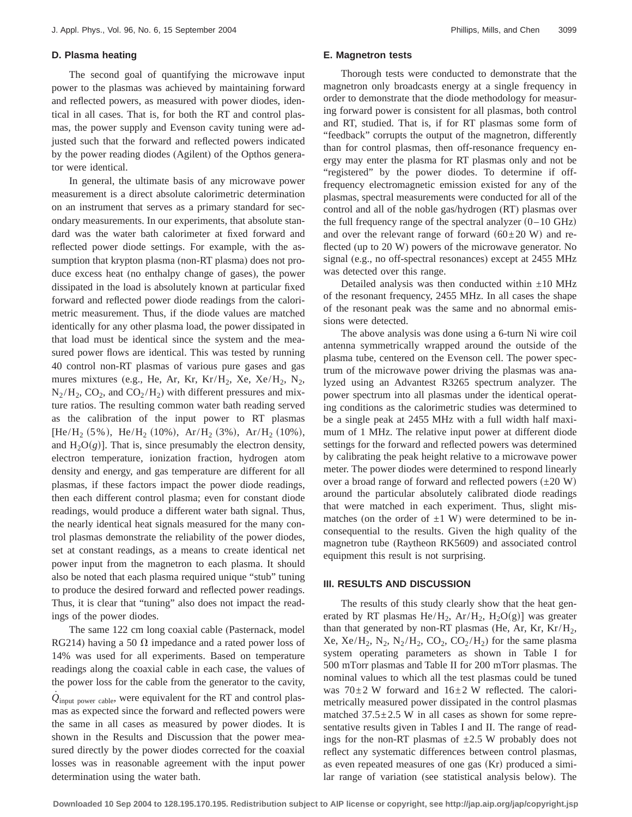# **D. Plasma heating**

The second goal of quantifying the microwave input power to the plasmas was achieved by maintaining forward and reflected powers, as measured with power diodes, identical in all cases. That is, for both the RT and control plasmas, the power supply and Evenson cavity tuning were adjusted such that the forward and reflected powers indicated by the power reading diodes (Agilent) of the Opthos generator were identical.

In general, the ultimate basis of any microwave power measurement is a direct absolute calorimetric determination on an instrument that serves as a primary standard for secondary measurements. In our experiments, that absolute standard was the water bath calorimeter at fixed forward and reflected power diode settings. For example, with the assumption that krypton plasma (non-RT plasma) does not produce excess heat (no enthalpy change of gases), the power dissipated in the load is absolutely known at particular fixed forward and reflected power diode readings from the calorimetric measurement. Thus, if the diode values are matched identically for any other plasma load, the power dissipated in that load must be identical since the system and the measured power flows are identical. This was tested by running 40 control non-RT plasmas of various pure gases and gas mures mixtures (e.g., He, Ar, Kr, Kr/H<sub>2</sub>, Xe, Xe/H<sub>2</sub>, N<sub>2</sub>,  $N_2 / H_2$ , CO<sub>2</sub>, and CO<sub>2</sub>/H<sub>2</sub>) with different pressures and mixture ratios. The resulting common water bath reading served as the calibration of the input power to RT plasmas  $[He/H_2 (5\%)$ , He/H<sub>2</sub> (10%), Ar/H<sub>2</sub> (3%), Ar/H<sub>2</sub> (10%), and  $H_2O(g)$ ]. That is, since presumably the electron density, electron temperature, ionization fraction, hydrogen atom density and energy, and gas temperature are different for all plasmas, if these factors impact the power diode readings, then each different control plasma; even for constant diode readings, would produce a different water bath signal. Thus, the nearly identical heat signals measured for the many control plasmas demonstrate the reliability of the power diodes, set at constant readings, as a means to create identical net power input from the magnetron to each plasma. It should also be noted that each plasma required unique "stub" tuning to produce the desired forward and reflected power readings. Thus, it is clear that "tuning" also does not impact the readings of the power diodes.

The same 122 cm long coaxial cable (Pasternack, model RG214) having a 50  $\Omega$  impedance and a rated power loss of 14% was used for all experiments. Based on temperature readings along the coaxial cable in each case, the values of the power loss for the cable from the generator to the cavity,  $Q<sub>input power cable</sub>$ , were equivalent for the RT and control plasmas as expected since the forward and reflected powers were the same in all cases as measured by power diodes. It is shown in the Results and Discussion that the power measured directly by the power diodes corrected for the coaxial losses was in reasonable agreement with the input power determination using the water bath.

## **E. Magnetron tests**

Thorough tests were conducted to demonstrate that the magnetron only broadcasts energy at a single frequency in order to demonstrate that the diode methodology for measuring forward power is consistent for all plasmas, both control and RT, studied. That is, if for RT plasmas some form of "feedback" corrupts the output of the magnetron, differently than for control plasmas, then off-resonance frequency energy may enter the plasma for RT plasmas only and not be "registered" by the power diodes. To determine if offfrequency electromagnetic emission existed for any of the plasmas, spectral measurements were conducted for all of the control and all of the noble gas/hydrogen (RT) plasmas over the full frequency range of the spectral analyzer  $(0-10 \text{ GHz})$ and over the relevant range of forward  $(60\pm20 \text{ W})$  and reflected (up to 20 W) powers of the microwave generator. No signal (e.g., no off-spectral resonances) except at 2455 MHz was detected over this range.

Detailed analysis was then conducted within  $\pm 10$  MHz of the resonant frequency, 2455 MHz. In all cases the shape of the resonant peak was the same and no abnormal emissions were detected.

The above analysis was done using a 6-turn Ni wire coil antenna symmetrically wrapped around the outside of the plasma tube, centered on the Evenson cell. The power spectrum of the microwave power driving the plasmas was analyzed using an Advantest R3265 spectrum analyzer. The power spectrum into all plasmas under the identical operating conditions as the calorimetric studies was determined to be a single peak at 2455 MHz with a full width half maximum of 1 MHz. The relative input power at different diode settings for the forward and reflected powers was determined by calibrating the peak height relative to a microwave power meter. The power diodes were determined to respond linearly over a broad range of forward and reflected powers  $(\pm 20 \text{ W})$ around the particular absolutely calibrated diode readings that were matched in each experiment. Thus, slight mismatches (on the order of  $\pm 1$  W) were determined to be inconsequential to the results. Given the high quality of the magnetron tube (Raytheon RK5609) and associated control equipment this result is not surprising.

## **III. RESULTS AND DISCUSSION**

The results of this study clearly show that the heat generated by RT plasmas He/H<sub>2</sub>, Ar/H<sub>2</sub>, H<sub>2</sub>O(g)] was greater than that generated by non-RT plasmas (He, Ar, Kr,  $Kr/H_2$ , Xe, Xe/H<sub>2</sub>, N<sub>2</sub>, N<sub>2</sub>/H<sub>2</sub>, CO<sub>2</sub>, CO<sub>2</sub>/H<sub>2</sub>) for the same plasma system operating parameters as shown in Table I for 500 mTorr plasmas and Table II for 200 mTorr plasmas. The nominal values to which all the test plasmas could be tuned was  $70\pm2$  W forward and  $16\pm2$  W reflected. The calorimetrically measured power dissipated in the control plasmas matched  $37.5 \pm 2.5$  W in all cases as shown for some representative results given in Tables I and II. The range of readings for the non-RT plasmas of  $\pm 2.5$  W probably does not reflect any systematic differences between control plasmas, as even repeated measures of one gas  $(Kr)$  produced a similar range of variation (see statistical analysis below). The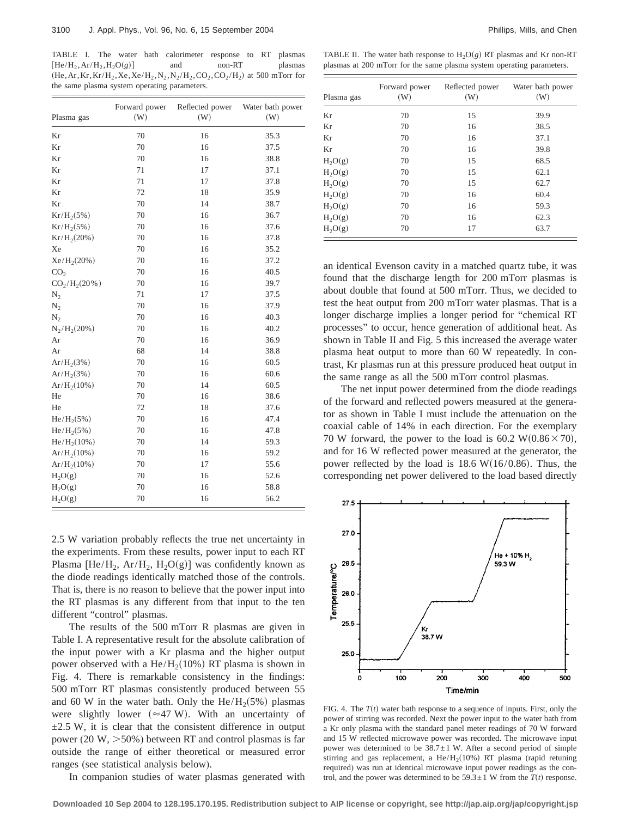TABLE I. The water bath calorimeter response to RT plasmas  $[He/H<sub>2</sub>, Ar/H<sub>2</sub>, H<sub>2</sub>O(g)]$  and non-RT plasmas  $(He, Ar, Kr, Kr/H<sub>2</sub>, Xe, Xe/H<sub>2</sub>, N<sub>2</sub>, N<sub>2</sub>/H<sub>2</sub>, CO<sub>2</sub>, CO<sub>2</sub>/H<sub>2</sub>)$  at 500 mTorr for the same plasma system operating parameters.

| Plasma gas                            | Forward power<br>(W) | Reflected power<br>(W) | Water bath power<br>(W) |
|---------------------------------------|----------------------|------------------------|-------------------------|
| Kr                                    | 70                   | 16                     | 35.3                    |
| Kr                                    | 70                   | 16                     | 37.5                    |
| Kr                                    | 70                   | 16                     | 38.8                    |
| Kr                                    | 71                   | 17                     | 37.1                    |
| Kr                                    | 71                   | 17                     | 37.8                    |
| Kr                                    | 72                   | 18                     | 35.9                    |
| Kr                                    | 70                   | 14                     | 38.7                    |
| $Kr/H_2(5\%)$                         | 70                   | 16                     | 36.7                    |
| $Kr/H_2(5\%)$                         | 70                   | 16                     | 37.6                    |
| $Kr/H_2(20%)$                         | 70                   | 16                     | 37.8                    |
| Xe                                    | 70                   | 16                     | 35.2                    |
| $Xe/H_2(20%)$                         | 70                   | 16                     | 37.2                    |
| CO <sub>2</sub>                       | 70                   | 16                     | 40.5                    |
| CO <sub>2</sub> /H <sub>2</sub> (20%) | 70                   | 16                     | 39.7                    |
| $N_2$                                 | 71                   | 17                     | 37.5                    |
| $N_2$                                 | 70                   | 16                     | 37.9                    |
| $N_{2}$                               | 70                   | 16                     | 40.3                    |
| $N_2/H_2(20\%)$                       | 70                   | 16                     | 40.2                    |
| Ar                                    | 70                   | 16                     | 36.9                    |
| Ar                                    | 68                   | 14                     | 38.8                    |
| $Ar/H_2(3\%)$                         | 70                   | 16                     | 60.5                    |
| $Ar/H_2(3%)$                          | 70                   | 16                     | 60.6                    |
| $Ar/H_2(10\%)$                        | 70                   | 14                     | 60.5                    |
| He                                    | 70                   | 16                     | 38.6                    |
| He                                    | 72                   | 18                     | 37.6                    |
| $He/H_2(5%)$                          | 70                   | 16                     | 47.4                    |
| $He/H_2(5%)$                          | 70                   | 16                     | 47.8                    |
| $He/H_2(10\%)$                        | 70                   | 14                     | 59.3                    |
| $Ar/H_2(10\%)$                        | 70                   | 16                     | 59.2                    |
| $Ar/H_2(10\%)$                        | 70                   | 17                     | 55.6                    |
| $H_2O(g)$                             | 70                   | 16                     | 52.6                    |
| $H_2O(g)$                             | 70                   | 16                     | 58.8                    |
| $H_2O(g)$                             | 70                   | 16                     | 56.2                    |

2.5 W variation probably reflects the true net uncertainty in the experiments. From these results, power input to each RT Plasma [He/H<sub>2</sub>, Ar/H<sub>2</sub>, H<sub>2</sub>O(g)] was confidently known as the diode readings identically matched those of the controls. That is, there is no reason to believe that the power input into the RT plasmas is any different from that input to the ten different "control" plasmas.

The results of the 500 mTorr R plasmas are given in Table I. A representative result for the absolute calibration of the input power with a Kr plasma and the higher output power observed with a He/H<sub>2</sub>(10%) RT plasma is shown in Fig. 4. There is remarkable consistency in the findings: 500 mTorr RT plasmas consistently produced between 55 and 60 W in the water bath. Only the  $He/H<sub>2</sub>(5%)$  plasmas were slightly lower ( $\approx$ 47 W). With an uncertainty of  $\pm 2.5$  W, it is clear that the consistent difference in output power (20 W,  $>50\%$ ) between RT and control plasmas is far outside the range of either theoretical or measured error ranges (see statistical analysis below).

In companion studies of water plasmas generated with

TABLE II. The water bath response to  $H_2O(g)$  RT plasmas and Kr non-RT plasmas at 200 mTorr for the same plasma system operating parameters.

| Plasma gas          | Forward power<br>(W) | Reflected power<br>(W) | Water bath power<br>(W) |
|---------------------|----------------------|------------------------|-------------------------|
| Kr                  | 70                   | 15                     | 39.9                    |
| Kr                  | 70                   | 16                     | 38.5                    |
| Kr                  | 70                   | 16                     | 37.1                    |
| Kr                  | 70                   | 16                     | 39.8                    |
| $H_2O(g)$           | 70                   | 15                     | 68.5                    |
| $H_2O(g)$           | 70                   | 15                     | 62.1                    |
| H <sub>2</sub> O(g) | 70                   | 15                     | 62.7                    |
| $H_2O(g)$           | 70                   | 16                     | 60.4                    |
| $H_2O(g)$           | 70                   | 16                     | 59.3                    |
| H <sub>2</sub> O(g) | 70                   | 16                     | 62.3                    |
| H <sub>2</sub> O(g) | 70                   | 17                     | 63.7                    |

an identical Evenson cavity in a matched quartz tube, it was found that the discharge length for 200 mTorr plasmas is about double that found at 500 mTorr. Thus, we decided to test the heat output from 200 mTorr water plasmas. That is a longer discharge implies a longer period for "chemical RT processes" to occur, hence generation of additional heat. As shown in Table II and Fig. 5 this increased the average water plasma heat output to more than 60 W repeatedly. In contrast, Kr plasmas run at this pressure produced heat output in the same range as all the 500 mTorr control plasmas.

The net input power determined from the diode readings of the forward and reflected powers measured at the generator as shown in Table I must include the attenuation on the coaxial cable of 14% in each direction. For the exemplary 70 W forward, the power to the load is 60.2 W $(0.86 \times 70)$ , and for 16 W reflected power measured at the generator, the power reflected by the load is  $18.6 \text{ W}(16/0.86)$ . Thus, the corresponding net power delivered to the load based directly



FIG. 4. The  $T(t)$  water bath response to a sequence of inputs. First, only the power of stirring was recorded. Next the power input to the water bath from a Kr only plasma with the standard panel meter readings of 70 W forward and 15 W reflected microwave power was recorded. The microwave input power was determined to be  $38.7 \pm 1$  W. After a second period of simple stirring and gas replacement, a  $\text{He/H}_2(10\%)$  RT plasma (rapid retuning required) was run at identical microwave input power readings as the control, and the power was determined to be  $59.3 \pm 1$  W from the *T*(*t*) response.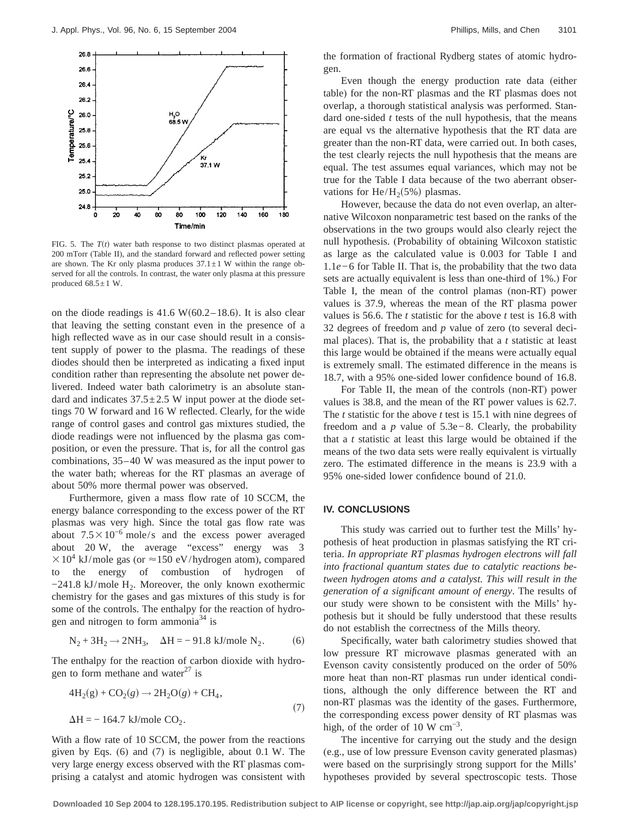

FIG. 5. The  $T(t)$  water bath response to two distinct plasmas operated at 200 mTorr (Table II), and the standard forward and reflected power setting are shown. The Kr only plasma produces  $37.1 \pm 1$  W within the range observed for all the controls. In contrast, the water only plasma at this pressure produced  $68.5 \pm 1$  W.

on the diode readings is 41.6  $W(60.2-18.6)$ . It is also clear that leaving the setting constant even in the presence of a high reflected wave as in our case should result in a consistent supply of power to the plasma. The readings of these diodes should then be interpreted as indicating a fixed input condition rather than representing the absolute net power delivered. Indeed water bath calorimetry is an absolute standard and indicates  $37.5 \pm 2.5$  W input power at the diode settings 70 W forward and 16 W reflected. Clearly, for the wide range of control gases and control gas mixtures studied, the diode readings were not influenced by the plasma gas composition, or even the pressure. That is, for all the control gas combinations, 35–40 W was measured as the input power to the water bath; whereas for the RT plasmas an average of about 50% more thermal power was observed.

Furthermore, given a mass flow rate of 10 SCCM, the energy balance corresponding to the excess power of the RT plasmas was very high. Since the total gas flow rate was about  $7.5\times10^{-6}$  mole/s and the excess power averaged about 20 W, the average "excess" energy was 3  $\times 10^4$  kJ/mole gas (or  $\approx$  150 eV/hydrogen atom), compared to the energy of combustion of hydrogen of  $-241.8$  kJ/mole H<sub>2</sub>. Moreover, the only known exothermic chemistry for the gases and gas mixtures of this study is for some of the controls. The enthalpy for the reaction of hydrogen and nitrogen to form ammonia $34$  is

$$
N_2 + 3H_2 \rightarrow 2NH_3, \quad \Delta H = -91.8 \text{ kJ/mole } N_2. \tag{6}
$$

The enthalpy for the reaction of carbon dioxide with hydrogen to form methane and water<sup>27</sup> is

$$
4H_2(g) + CO_2(g) \rightarrow 2H_2O(g) + CH_4,
$$
  
\n
$$
\Delta H = -164.7 \text{ kJ/mole } CO_2.
$$
\n(7)

With a flow rate of 10 SCCM, the power from the reactions given by Eqs. (6) and (7) is negligible, about 0.1 W. The very large energy excess observed with the RT plasmas comprising a catalyst and atomic hydrogen was consistent with the formation of fractional Rydberg states of atomic hydrogen.

Even though the energy production rate data (either table) for the non-RT plasmas and the RT plasmas does not overlap, a thorough statistical analysis was performed. Standard one-sided *t* tests of the null hypothesis, that the means are equal vs the alternative hypothesis that the RT data are greater than the non-RT data, were carried out. In both cases, the test clearly rejects the null hypothesis that the means are equal. The test assumes equal variances, which may not be true for the Table I data because of the two aberrant observations for  $He/H_2(5\%)$  plasmas.

However, because the data do not even overlap, an alternative Wilcoxon nonparametric test based on the ranks of the observations in the two groups would also clearly reject the null hypothesis. (Probability of obtaining Wilcoxon statistic as large as the calculated value is 0.003 for Table I and 1.1*e*−6 for Table II. That is, the probability that the two data sets are actually equivalent is less than one-third of 1%.) For Table I, the mean of the control plamas (non-RT) power values is 37.9, whereas the mean of the RT plasma power values is 56.6. The *t* statistic for the above *t* test is 16.8 with 32 degrees of freedom and *p* value of zero (to several decimal places). That is, the probability that a *t* statistic at least this large would be obtained if the means were actually equal is extremely small. The estimated difference in the means is 18.7, with a 95% one-sided lower confidence bound of 16.8.

For Table II, the mean of the controls (non-RT) power values is 38.8, and the mean of the RT power values is 62.7. The *t* statistic for the above *t* test is 15.1 with nine degrees of freedom and a *p* value of 5.3e−8. Clearly, the probability that a *t* statistic at least this large would be obtained if the means of the two data sets were really equivalent is virtually zero. The estimated difference in the means is 23.9 with a 95% one-sided lower confidence bound of 21.0.

#### **IV. CONCLUSIONS**

This study was carried out to further test the Mills' hypothesis of heat production in plasmas satisfying the RT criteria. *In appropriate RT plasmas hydrogen electrons will fall into fractional quantum states due to catalytic reactions between hydrogen atoms and a catalyst. This will result in the generation of a significant amount of energy*. The results of our study were shown to be consistent with the Mills' hypothesis but it should be fully understood that these results do not establish the correctness of the Mills theory.

Specifically, water bath calorimetry studies showed that low pressure RT microwave plasmas generated with an Evenson cavity consistently produced on the order of 50% more heat than non-RT plasmas run under identical conditions, although the only difference between the RT and non-RT plasmas was the identity of the gases. Furthermore, the corresponding excess power density of RT plasmas was high, of the order of 10 W  $cm<sup>-3</sup>$ .

The incentive for carrying out the study and the design (e.g., use of low pressure Evenson cavity generated plasmas) were based on the surprisingly strong support for the Mills' hypotheses provided by several spectroscopic tests. Those